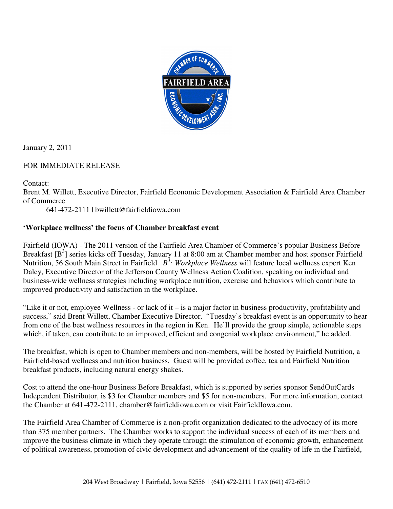

January 2, 2011

## FOR IMMEDIATE RELEASE

Contact:

Brent M. Willett, Executive Director, Fairfield Economic Development Association & Fairfield Area Chamber of Commerce

641-472-2111 | bwillett@fairfieldiowa.com

## **'Workplace wellness' the focus of Chamber breakfast event**

Fairfield (IOWA) - The 2011 version of the Fairfield Area Chamber of Commerce's popular Business Before Breakfast [B<sup>3</sup>] series kicks off Tuesday, January 11 at 8:00 am at Chamber member and host sponsor Fairfield Nutrition, 56 South Main Street in Fairfield. *B*<sup>3</sup>: Workplace Wellness will feature local wellness expert Ken Daley, Executive Director of the Jefferson County Wellness Action Coalition, speaking on individual and business-wide wellness strategies including workplace nutrition, exercise and behaviors which contribute to improved productivity and satisfaction in the workplace.

"Like it or not, employee Wellness - or lack of it – is a major factor in business productivity, profitability and success," said Brent Willett, Chamber Executive Director. "Tuesday's breakfast event is an opportunity to hear from one of the best wellness resources in the region in Ken. He'll provide the group simple, actionable steps which, if taken, can contribute to an improved, efficient and congenial workplace environment," he added.

The breakfast, which is open to Chamber members and non-members, will be hosted by Fairfield Nutrition, a Fairfield-based wellness and nutrition business. Guest will be provided coffee, tea and Fairfield Nutrition breakfast products, including natural energy shakes.

Cost to attend the one-hour Business Before Breakfast, which is supported by series sponsor SendOutCards Independent Distributor, is \$3 for Chamber members and \$5 for non-members. For more information, contact the Chamber at 641-472-2111, chamber@fairfieldiowa.com or visit FairfieldIowa.com.

The Fairfield Area Chamber of Commerce is a non-profit organization dedicated to the advocacy of its more than 375 member partners. The Chamber works to support the individual success of each of its members and improve the business climate in which they operate through the stimulation of economic growth, enhancement of political awareness, promotion of civic development and advancement of the quality of life in the Fairfield,